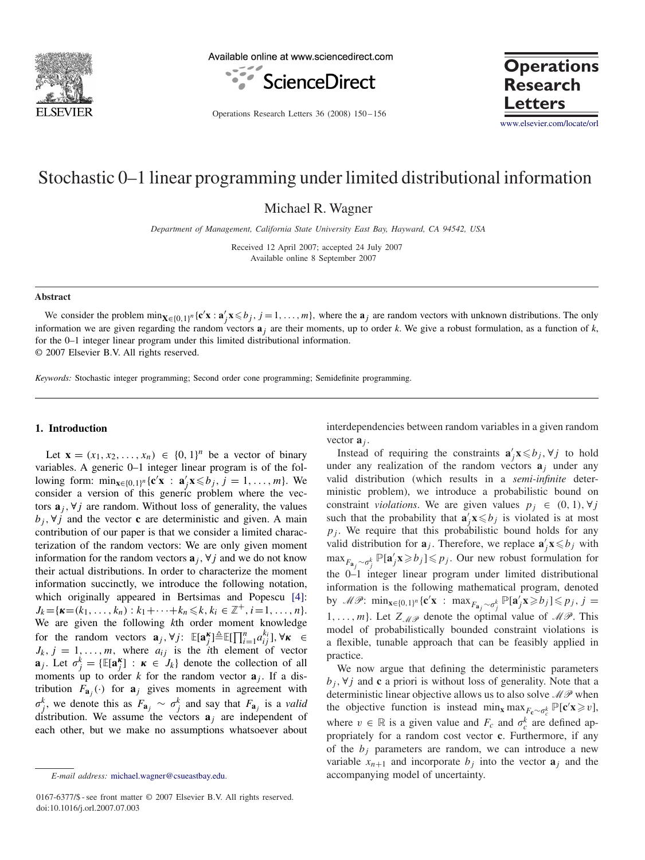

Available online at www.sciencedirect.com



**Research Letters**

Operations Research Letters 36 (2008) 150-156

[www.elsevier.com/locate/orl](http://www.elsevier.com/locate/orl)

**Operations**

# Stochastic 0–1 linear programming under limited distributional information

Michael R. Wagner

*Department of Management, California State University East Bay, Hayward, CA 94542, USA*

Received 12 April 2007; accepted 24 July 2007 Available online 8 September 2007

#### **Abstract**

We consider the problem  $\min_{\mathbf{X} \in \{0,1\}^n} {\mathbf{c}'} \mathbf{x} : \mathbf{a}'_j \mathbf{x} \leq b_j, j = 1, \dots, m$ , where the  $\mathbf{a}_j$  are random vectors with unknown distributions. The only information we are given regarding the random vectors  $\mathbf{a}_i$  are their moments, up to order *k*. We give a robust formulation, as a function of *k*, for the 0–1 integer linear program under this limited distributional information. © 2007 Elsevier B.V. All rights reserved.

*Keywords:* Stochastic integer programming; Second order cone programming; Semidefinite programming.

## **1. Introduction**

Let  $\mathbf{x} = (x_1, x_2, ..., x_n) \in \{0, 1\}^n$  be a vector of binary variables. A generic 0–1 integer linear program is of the following form:  $\min_{\mathbf{x} \in \{0,1\}^n} {\mathbf{c}^{\prime} \mathbf{x}} : \mathbf{a}^{\prime} \cdot \mathbf{x} \leq b_j, j = 1, ..., m$ . We consider a version of this generic problem where the vectors  $\mathbf{a}_i$ ,  $\forall j$  are random. Without loss of generality, the values  $b_i$ ,  $\forall j$  and the vector **c** are deterministic and given. A main contribution of our paper is that we consider a limited characterization of the random vectors: We are only given moment information for the random vectors  $\mathbf{a}_i$ ,  $\forall j$  and we do not know their actual distributions. In order to characterize the moment information succinctly, we introduce the following notation, which originally appeared in Bertsimas and Popescu [\[4\]:](#page-6-0)  $J_k = {\bf{K}} = (k_1, \ldots, k_n) : k_1 + \cdots + k_n \leq k, k_i \in \mathbb{Z}^+, i = 1, \ldots, n$ . We are given the following *k*th order moment knowledge for the random vectors  $\mathbf{a}_j, \forall j$ :  $\mathbb{E}[\mathbf{a}_j^{\mathbf{k}}] \triangleq \mathbb{E}[\prod_{i=1}^n a_{ij}^{k_i}], \forall \mathbf{k} \in$  $J_k$ ,  $j = 1, \ldots, m$ , where  $a_{ij}$  is the *i*th element of vector **a**<sub>*j*</sub>. Let  $\sigma_j^k = \{ \mathbb{E}[\mathbf{a}_j^k] : \mathbf{\kappa} \in J_k \}$  denote the collection of all moments up to order *k* for the random vector  $a_j$ . If a distribution  $F_{a_i}(\cdot)$  for  $a_j$  gives moments in agreement with  $\sigma_j^k$ , we denote this as  $F_{\mathbf{a}_j} \sim \sigma_j^k$  and say that  $F_{\mathbf{a}_j}$  is a *valid* distribution. We assume the vectors  $a_j$  are independent of each other, but we make no assumptions whatsoever about

interdependencies between random variables in a given random vector **a***<sup>j</sup>* .

Instead of requiring the constraints  $\mathbf{a}'_j \mathbf{x} \leq b_j$ ,  $\forall j$  to hold under any realization of the random vectors  $a_j$  under any valid distribution (which results in a *semi-infinite* deterministic problem), we introduce a probabilistic bound on constraint *violations*. We are given values  $p_j \in (0, 1), \forall j$ such that the probability that  $\mathbf{a}'_j \mathbf{x} \leq b_j$  is violated is at most  $p_i$ . We require that this probabilistic bound holds for any valid distribution for  $\mathbf{a}_j$ . Therefore, we replace  $\mathbf{a}'_j \mathbf{x} \leq b_j$  with  $\max_{F_{\mathbf{a}_j} \sim \sigma_j^k} \mathbb{P}[\mathbf{a}'_j \mathbf{x} \geq b_j] \leq p_j$ . Our new robust formulation for the 0–1 integer linear program under limited distributional information is the following mathematical program, denoted by  $\mathscr{MP}: \min_{\mathbf{x} \in \{0,1\}^n} {\mathbf{c}^{\prime} \mathbf{x}} : \max_{F_{\mathbf{a}_j} \sim \sigma_j^k} {\mathbb{P}[\mathbf{a}_j \mathbf{x} \geq b_j] \leq p_j, j =$ 1,..., m}. Let  $Z_{\mathcal{M}\mathcal{P}}$  denote the optimal value of  $\mathcal{M}\mathcal{P}$ . This model of probabilistically bounded constraint violations is a flexible, tunable approach that can be feasibly applied in practice.

We now argue that defining the deterministic parameters  $b_i$ ,  $\forall j$  and **c** a priori is without loss of generality. Note that a deterministic linear objective allows us to also solve  $\mathcal{MP}$  when the objective function is instead  $\min_{\mathbf{x}} \max_{F_{\mathbf{c}} \sim \sigma_c^k} \mathbb{P}[\mathbf{c}' \mathbf{x} \geq v],$ where  $v \in \mathbb{R}$  is a given value and  $F_c$  and  $\sigma_c^k$  are defined appropriately for a random cost vector **c**. Furthermore, if any of the  $b_i$  parameters are random, we can introduce a new variable  $x_{n+1}$  and incorporate  $b_j$  into the vector  $\mathbf{a}_j$  and the accompanying model of uncertainty.

*E-mail address:* [michael.wagner@csueastbay.edu.](mailto:michael.wagner@csueastbay.edu)

<sup>0167-6377/\$ -</sup> see front matter © 2007 Elsevier B.V. All rights reserved. doi:10.1016/j.orl.2007.07.003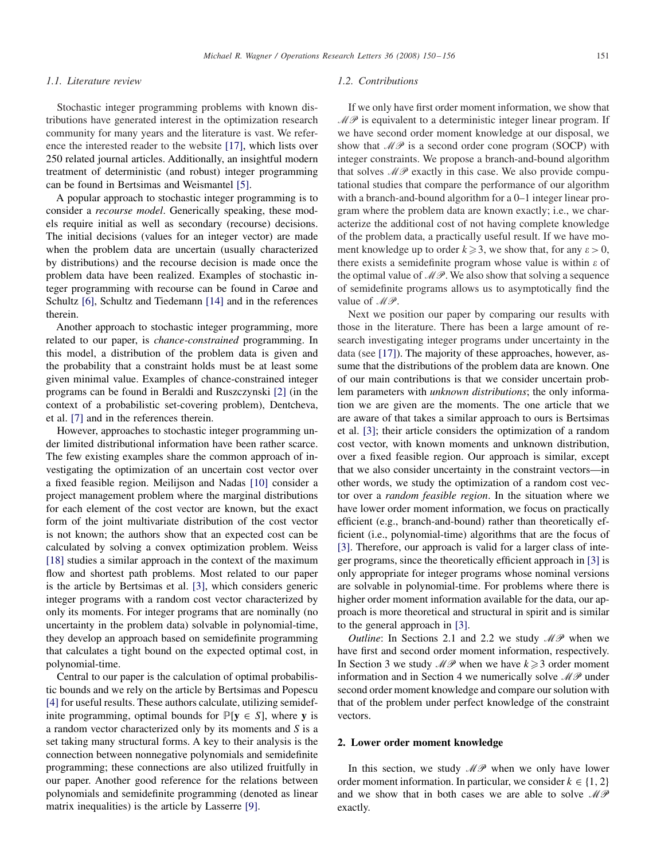## *1.1. Literature review*

Stochastic integer programming problems with known distributions have generated interest in the optimization research community for many years and the literature is vast. We reference the interested reader to the website [\[17\],](#page-6-0) which lists over 250 related journal articles. Additionally, an insightful modern treatment of deterministic (and robust) integer programming can be found in Bertsimas and Weismantel [\[5\].](#page-6-0)

A popular approach to stochastic integer programming is to consider a *recourse model*. Generically speaking, these models require initial as well as secondary (recourse) decisions. The initial decisions (values for an integer vector) are made when the problem data are uncertain (usually characterized by distributions) and the recourse decision is made once the problem data have been realized. Examples of stochastic integer programming with recourse can be found in Carøe and Schultz [\[6\],](#page-6-0) Schultz and Tiedemann [\[14\]](#page-6-0) and in the references therein.

Another approach to stochastic integer programming, more related to our paper, is *chance-constrained* programming. In this model, a distribution of the problem data is given and the probability that a constraint holds must be at least some given minimal value. Examples of chance-constrained integer programs can be found in Beraldi and Ruszczynski [\[2\]](#page-6-0) (in the context of a probabilistic set-covering problem), Dentcheva, et al. [\[7\]](#page-6-0) and in the references therein.

However, approaches to stochastic integer programming under limited distributional information have been rather scarce. The few existing examples share the common approach of investigating the optimization of an uncertain cost vector over a fixed feasible region. Meilijson and Nadas [\[10\]](#page-6-0) consider a project management problem where the marginal distributions for each element of the cost vector are known, but the exact form of the joint multivariate distribution of the cost vector is not known; the authors show that an expected cost can be calculated by solving a convex optimization problem. Weiss [\[18\]](#page-6-0) studies a similar approach in the context of the maximum flow and shortest path problems. Most related to our paper is the article by Bertsimas et al. [\[3\],](#page-6-0) which considers generic integer programs with a random cost vector characterized by only its moments. For integer programs that are nominally (no uncertainty in the problem data) solvable in polynomial-time, they develop an approach based on semidefinite programming that calculates a tight bound on the expected optimal cost, in polynomial-time.

Central to our paper is the calculation of optimal probabilistic bounds and we rely on the article by Bertsimas and Popescu [\[4\]](#page-6-0) for useful results. These authors calculate, utilizing semidefinite programming, optimal bounds for  $P[y \in S]$ , where y is a random vector characterized only by its moments and *S* is a set taking many structural forms. A key to their analysis is the connection between nonnegative polynomials and semidefinite programming; these connections are also utilized fruitfully in our paper. Another good reference for the relations between polynomials and semidefinite programming (denoted as linear matrix inequalities) is the article by Lasserre [\[9\].](#page-6-0)

## *1.2. Contributions*

If we only have first order moment information, we show that  $\mathcal{MP}$  is equivalent to a deterministic integer linear program. If we have second order moment knowledge at our disposal, we show that  $\mathcal{MP}$  is a second order cone program (SOCP) with integer constraints. We propose a branch-and-bound algorithm that solves  $\mathcal{MP}$  exactly in this case. We also provide computational studies that compare the performance of our algorithm with a branch-and-bound algorithm for a 0–1 integer linear program where the problem data are known exactly; i.e., we characterize the additional cost of not having complete knowledge of the problem data, a practically useful result. If we have moment knowledge up to order  $k \ge 3$ , we show that, for any  $\varepsilon > 0$ , there exists a semidefinite program whose value is within  $\varepsilon$  of the optimal value of  $\mathcal{MP}$ . We also show that solving a sequence of semidefinite programs allows us to asymptotically find the value of  $\mathcal{MP}$ .

Next we position our paper by comparing our results with those in the literature. There has been a large amount of research investigating integer programs under uncertainty in the data (see [\[17\]\)](#page-6-0). The majority of these approaches, however, assume that the distributions of the problem data are known. One of our main contributions is that we consider uncertain problem parameters with *unknown distributions*; the only information we are given are the moments. The one article that we are aware of that takes a similar approach to ours is Bertsimas et al. [\[3\];](#page-6-0) their article considers the optimization of a random cost vector, with known moments and unknown distribution, over a fixed feasible region. Our approach is similar, except that we also consider uncertainty in the constraint vectors—in other words, we study the optimization of a random cost vector over a *random feasible region*. In the situation where we have lower order moment information, we focus on practically efficient (e.g., branch-and-bound) rather than theoretically efficient (i.e., polynomial-time) algorithms that are the focus of [\[3\].](#page-6-0) Therefore, our approach is valid for a larger class of integer programs, since the theoretically efficient approach in [\[3\]](#page-6-0) is only appropriate for integer programs whose nominal versions are solvable in polynomial-time. For problems where there is higher order moment information available for the data, our approach is more theoretical and structural in spirit and is similar to the general approach in [\[3\].](#page-6-0)

*Outline*: In Sections 2.1 and 2.2 we study  $\mathcal{MP}$  when we have first and second order moment information, respectively. In Section 3 we study  $\mathcal{MP}$  when we have  $k \geq 3$  order moment information and in Section 4 we numerically solve  $\mathcal{MP}$  under second order moment knowledge and compare our solution with that of the problem under perfect knowledge of the constraint vectors.

## **2. Lower order moment knowledge**

In this section, we study  $\mathcal{MP}$  when we only have lower order moment information. In particular, we consider  $k \in \{1, 2\}$ and we show that in both cases we are able to solve  $\mathcal{MP}$ exactly.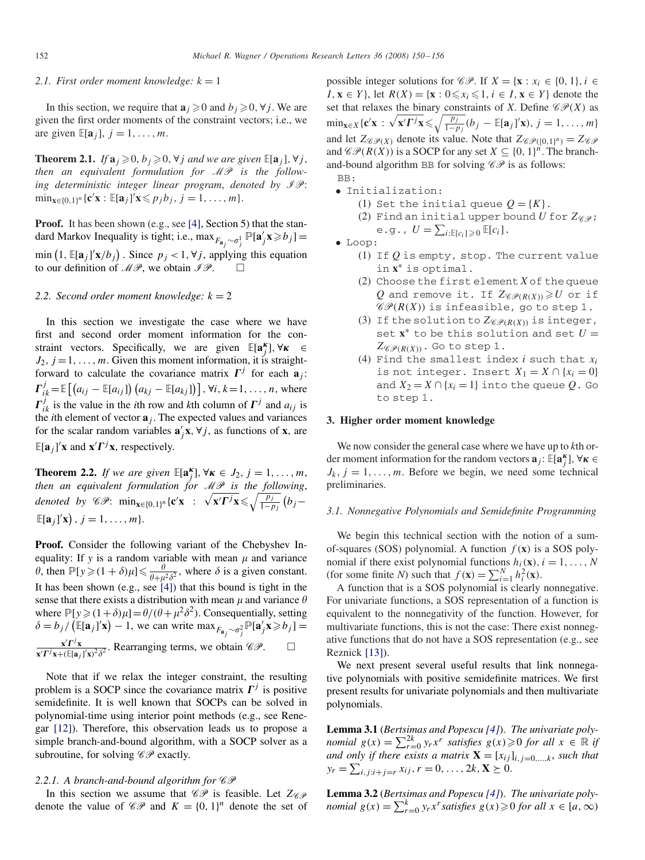#### 2.1. First order moment knowledge:  $k = 1$

In this section, we require that  $\mathbf{a}_i \geq 0$  and  $b_i \geq 0$ ,  $\forall j$ . We are given the first order moments of the constraint vectors; i.e., we are given  $\mathbb{E}[\mathbf{a}_i]$ ,  $j = 1, \ldots, m$ .

**Theorem 2.1.** *If*  $\mathbf{a}_i \geq 0$ ,  $b_i \geq 0$ ,  $\forall j$  *and we are given*  $\mathbb{E}[\mathbf{a}_j]$ ,  $\forall j$ , *then an equivalent formulation for* MP *is the following deterministic integer linear program, denoted by*  $\mathscr{I}\mathscr{P}$ *:*  $\min_{\mathbf{x} \in \{0,1\}^n} {\mathbf{c}^{\prime}} \mathbf{x} : \mathbb{E}[\mathbf{a}_j]^{\prime} \mathbf{x} \leq p_j b_j, j = 1, \ldots, m$ 

Proof. It has been shown (e.g., see [\[4\],](#page-6-0) Section 5) that the standard Markov Inequality is tight; i.e.,  $\max_{F_{\mathbf{a}_j} \sim \sigma_j^1} \mathbb{P}[\mathbf{a}_j' \mathbf{x} \geq b_j] =$ min  $(1, \mathbb{E}[\mathbf{a}_j]' \mathbf{x}/b_j)$ . Since  $p_j < 1, \forall j$ , applying this equation to our definition of  $\mathcal{MP}$ , we obtain  $\mathcal{IP}$ .

#### 2.2. Second order moment knowledge:  $k = 2$

In this section we investigate the case where we have first and second order moment information for the constraint vectors. Specifically, we are given  $\mathbb{E}[\mathbf{a}_{j}^{\kappa}], \forall \kappa \in$  $J_2$ ,  $j = 1, \ldots, m$ . Given this moment information, it is straightforward to calculate the covariance matrix  $\Gamma^j$  for each  $\mathbf{a}_i$ :  $I_{ik}^{j}$  =  $\mathbb{E}\left[\left(a_{ij} - \mathbb{E}[a_{ij}]\right)\left(a_{kj} - \mathbb{E}[a_{kj}]\right)\right]$ , ∀*i*, *k* = 1, ..., *n*, where  $\Gamma_{ik}^{j}$  is the value in the *i*th row and *k*th column of  $\Gamma^{j}$  and  $a_{ij}$  is the *i*th element of vector  $\mathbf{a}_i$ . The expected values and variances for the scalar random variables  $\mathbf{a}'_j \mathbf{x}, \forall j$ , as functions of  $\mathbf{x}$ , are  $\mathbb{E}[\mathbf{a}_j]' \mathbf{x}$  and  $\mathbf{x}' \mathbf{\Gamma}^j \mathbf{x}$ , respectively.

**Theorem 2.2.** *If we are given*  $\mathbb{E}[\mathbf{a}_{j}^{k}], \forall \kappa \in J_2, j = 1, \ldots, m$ , *then an equivalent formulation for* MP *is the following*, *denoted by*  $\mathscr{CP}$ :  $\min_{\mathbf{x} \in \{0,1\}^n} {\mathbf{c}'} \mathbf{x} : \sqrt{\mathbf{x'} \Gamma^j \mathbf{x}} \leqslant \sqrt{\frac{p_j}{1-p_j}} (b_j \mathbb{E}[\mathbf{a}_j]'(\mathbf{x}), j = 1, \ldots, m$ .

**Proof.** Consider the following variant of the Chebyshev Inequality: If  $y$  is a random variable with mean  $\mu$  and variance  $\theta$ , then  $\mathbb{P}[y \geq (1 + \delta)\mu] \leq \frac{\theta}{\theta + \mu^2 \delta^2}$ , where  $\delta$  is a given constant. It has been shown (e.g., see [\[4\]\)](#page-6-0) that this bound is tight in the sense that there exists a distribution with mean  $\mu$  and variance  $\theta$ where  $\mathbb{P}[y \geq (1+\delta)\mu] = \theta/(\theta + \mu^2 \delta^2)$ . Consequentially, setting  $\delta = b_j / (\mathbb{E}[\mathbf{a}_j]' \mathbf{x}) - 1$ , we can write  $\max_{F_{\mathbf{a}_j} \sim \sigma_j^2} \mathbb{P}[\mathbf{a}_j' \mathbf{x} \geq b_j] =$  $\mathbf{x}'$  $\mathbf{\Gamma}^j$ **x**  $\frac{\mathbf{x} \cdot \mathbf{y}}{\mathbf{x}' \mathbf{y} + (\mathbb{E}[\mathbf{a}_j]') \mathbf{x}^2 \delta^2}$ . Rearranging terms, we obtain  $\mathscr{CP}$ .

Note that if we relax the integer constraint, the resulting problem is a SOCP since the covariance matrix  $\Gamma^j$  is positive semidefinite. It is well known that SOCPs can be solved in polynomial-time using interior point methods (e.g., see Renegar [\[12\]\)](#page-6-0). Therefore, this observation leads us to propose a simple branch-and-bound algorithm, with a SOCP solver as a subroutine, for solving  $\mathscr{CP}$  exactly.

### 2.2.1. A branch-and-bound algorithm for  $\mathscr{CP}$

In this section we assume that  $\mathscr{CP}$  is feasible. Let  $Z_{\mathscr{CP}}$ denote the value of  $\mathscr{CP}$  and  $K = \{0, 1\}^n$  denote the set of possible integer solutions for  $\mathscr{CP}$ . If  $X = \{x : x_i \in \{0, 1\}, i \in \mathbb{Z}\}$ *I*, **x** ∈ *Y*}, let *R*(*X*) = {**x** : 0 ≤ *x<sub>i</sub>* ≤ 1, *i* ∈ *I*, **x** ∈ *Y*} denote the set that relaxes the binary constraints of *X*. Define  $\mathscr{CP}(X)$  as  $\min_{\mathbf{x}\in X} \{ \mathbf{c}'\mathbf{x} : \sqrt{\mathbf{x}'\mathbf{\Gamma}^j\mathbf{x}} \leqslant \sqrt{\frac{p_j}{1-p_j}} (b_j - \mathbb{E}[\mathbf{a}_j]'\mathbf{x}), j = 1, ..., m \}$ and let  $Z_{\mathscr{C}P(X)}$  denote its value. Note that  $Z_{\mathscr{C}P(\{0,1\}^n)} = Z_{\mathscr{C}P}$ and  $\mathscr{CP}(R(X))$  is a SOCP for any set  $X \subseteq \{0, 1\}^n$ . The branchand-bound algorithm BB for solving  $\mathscr{CP}$  is as follows: BB:

- Initialization:
	- (1) Set the initial queue  $Q = \{K\}$ .
	- (2) Find an initial upper bound  $U$  for  $Z_{\mathscr{C}P}$ ; e.g.,  $U = \sum_{i: \mathbb{E}[c_i] \geq 0} \mathbb{E}[c_i]$ .

• Loop:

- (1) If *Q* is empty, stop. The current value in **x**<sup>∗</sup> is optimal.
- (2) Choose the first element *X* of the queue *Q* and remove it. If  $Z_{\mathscr{C}(\mathscr{P}(R(X)))} \ge U$  or if  $\mathscr{GP}(R(X))$  is infeasible, go to step 1.
- (3) If the solution to  $Z_{\mathscr{C}P(R(X))}$  is integer, set  $\mathbf{x}^*$  to be this solution and set  $U =$  $Z_{\mathscr{C}P(R(X))}$ . Go to step 1.
- (4) Find the smallest index *i* such that *xi* is not integer. Insert  $X_1 = X \cap \{x_i = 0\}$ and  $X_2 = X \cap \{x_i = 1\}$  into the queue Q. Go to step 1.

## **3. Higher order moment knowledge**

We now consider the general case where we have up to *k*th order moment information for the random vectors  $\mathbf{a}_j$ :  $\mathbb{E}[\mathbf{a}_j^{\kappa}], \forall \kappa \in$  $J_k$ ,  $j = 1, \ldots, m$ . Before we begin, we need some technical preliminaries.

### *3.1. Nonnegative Polynomials and Semidefinite Programming*

We begin this technical section with the notion of a sumof-squares (SOS) polynomial. A function  $f(\mathbf{x})$  is a SOS polynomial if there exist polynomial functions  $h_i(\mathbf{x}), i = 1, \ldots, N$ (for some finite *N*) such that  $f(\mathbf{x}) = \sum_{i=1}^{N} h_i^2(\mathbf{x})$ .

A function that is a SOS polynomial is clearly nonnegative. For univariate functions, a SOS representation of a function is equivalent to the nonnegativity of the function. However, for multivariate functions, this is not the case: There exist nonnegative functions that do not have a SOS representation (e.g., see Reznick [\[13\]\)](#page-6-0).

We next present several useful results that link nonnegative polynomials with positive semidefinite matrices. We first present results for univariate polynomials and then multivariate polynomials.

**Lemma 3.1** (*Bertsimas and Popescu [\[4\]](#page-6-0)*). *The univariate polynomial*  $g(x) = \sum_{r=0}^{2k} y_r x^r$  *satisfies*  $g(x) \ge 0$  *for all*  $x \in \mathbb{R}$  *if and only if there exists a matrix*  $\mathbf{X} = [x_{ij}]_{i,j=0,\dots,k}$ , *such that*  $y_r = \sum_{i, j: i+j=r} x_{ij}, r = 0, \ldots, 2k, \mathbf{X} \geq 0.$ 

**Lemma 3.2** (*Bertsimas and Popescu [\[4\]](#page-6-0)*). *The univariate polynomial*  $g(x) = \sum_{r=0}^{k} y_r x^r$  *satisfies*  $g(x) \ge 0$  *for all*  $x \in [a, \infty)$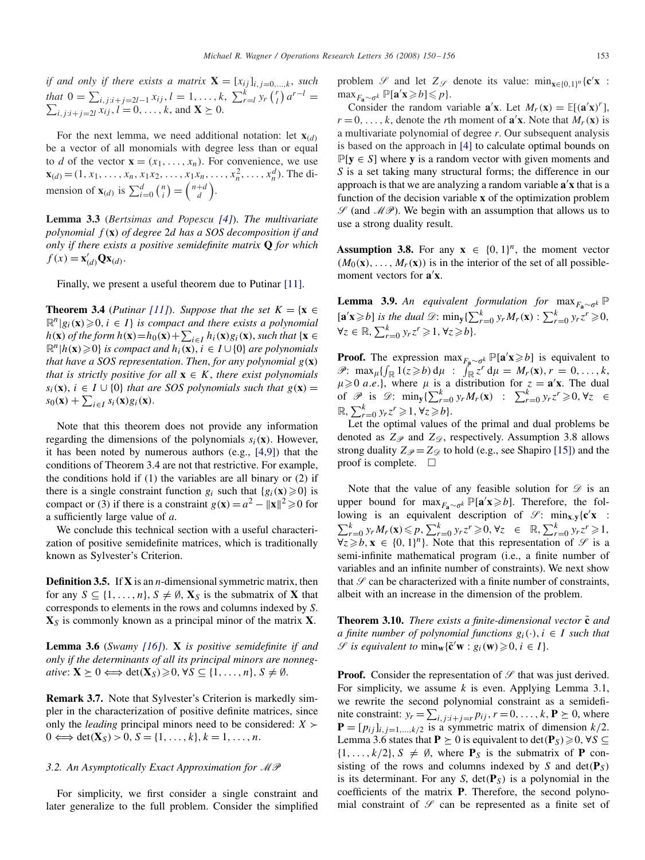*if and only if there exists a matrix*  $\mathbf{X} = [x_{ij}]_{i,j=0,\dots,k}$ , *such* that  $0 = \sum_{i,j:i+j=2l-1} x_{ij}, l = 1, ..., k, \sum_{r=l}^{k} y_r {r \choose l} a^{r-l} = \sum_{i,j:i+j=2l} x_{ij}, l = 0, ..., k, \text{ and } \mathbf{X} \succeq 0.$ 

For the next lemma, we need additional notation: let  $\mathbf{x}_{(d)}$ be a vector of all monomials with degree less than or equal to *d* of the vector  $\mathbf{x} = (x_1, \ldots, x_n)$ . For convenience, we use  $\mathbf{x}_{(d)} = (1, x_1, \ldots, x_n, x_1 x_2, \ldots, x_1 x_n, \ldots, x_n^2, \ldots, x_n^d)$ . The dimension of  $\mathbf{x}_{(d)}$  is  $\sum_{i=0}^{d} {n \choose i} = {n+d \choose d}$  $\begin{pmatrix} +d \\ d \end{pmatrix}$ .

**Lemma 3.3** (*Bertsimas and Popescu [\[4\]](#page-6-0)*). *The multivariate polynomial f (***x***) of degree* 2*d has a SOS decomposition if and only if there exists a positive semidefinite matrix* **Q** *for which*  $f(x) = \mathbf{x}'_{(d)} \mathbf{Q} \mathbf{x}_{(d)}$ .

Finally, we present a useful theorem due to Putinar [\[11\].](#page-6-0)

**Theorem 3.4** (*Putinar* [\[11\]](#page-6-0)). *Suppose that the set*  $K = \{x \in \mathbb{R}^n : x \in \mathbb{R}^n : x \in \mathbb{R}^n : x \in \mathbb{R}^n : x \in \mathbb{R}^n : x \in \mathbb{R}^n : x \in \mathbb{R}^n : x \in \mathbb{R}^n : x \in \mathbb{R}^n : x \in \mathbb{R}^n : x \in \mathbb{R}^n : x \in \mathbb{R}^n : x \in \mathbb{R}^n : x \in \math$  $\mathbb{R}^n | g_i(\mathbf{x}) \geq 0, i \in I$  *is compact and there exists a polynomial h*(**x**) *of the form*  $h(\mathbf{x}) = h_0(\mathbf{x}) + \sum_{i \in I} h_i(\mathbf{x}) g_i(\mathbf{x})$ , such that {**x** ∈  $\mathbb{R}^n | h(\mathbf{x}) \geq 0$  *is compact and*  $h_i(\mathbf{x}), i \in I \cup \{0\}$  *are polynomials that have a SOS representation*. *Then*, *for any polynomial g(***x***) that is strictly positive for all*  $\mathbf{x} \in K$ , *there exist polynomials s<sub>i</sub>*(**x**), *i* ∈ *I* ∪ {0} *that are SOS polynomials such that*  $g$ (**x***)* =  $s_0(\mathbf{x}) + \sum_{i \in I} s_i(\mathbf{x}) g_i(\mathbf{x})$ .

Note that this theorem does not provide any information regarding the dimensions of the polynomials  $s_i(\mathbf{x})$ . However, it has been noted by numerous authors (e.g., [4,9]) that the conditions of Theorem 3.4 are not that restrictive. For example, the conditions hold if (1) the variables are all binary or (2) if there is a single constraint function  $g_i$  such that  ${g_i(\mathbf{x}) \geq 0}$  is compact or (3) if there is a constraint  $g(\mathbf{x}) = a^2 - ||\mathbf{x}||^2 \ge 0$  for a sufficiently large value of *a*.

We conclude this technical section with a useful characterization of positive semidefinite matrices, which is traditionally known as Sylvester's Criterion.

**Definition 3.5.** If **X** is an *n*-dimensional symmetric matrix, then for any  $S \subseteq \{1, \ldots, n\}, S \neq \emptyset, X_S$  is the submatrix of X that corresponds to elements in the rows and columns indexed by *S*. **X***<sup>S</sup>* is commonly known as a principal minor of the matrix **X**.

**Lemma 3.6** (*Swamy [\[16\]](#page-6-0)*). **X** *is positive semidefinite if and only if the determinants of all its principal minors are nonneg-* $\alpha$  *ative*:  $\mathbf{X} \geq 0 \Longleftrightarrow \det(\mathbf{X}_S) \geq 0, \forall S \subseteq \{1, \ldots, n\}, S \neq \emptyset$ .

**Remark 3.7.** Note that Sylvester's Criterion is markedly simpler in the characterization of positive definite matrices, since only the *leading* principal minors need to be considered:  $X \succ$ 0  $\Longleftrightarrow$  det(**X**<sub>*S*</sub>) > 0, *S* = {1, ..., *k*}*, k* = 1*, ..., n*.

# *3.2. An Asymptotically Exact Approximation for* MP

For simplicity, we first consider a single constraint and later generalize to the full problem. Consider the simplified problem  $\mathcal{S}$  and let  $Z_{\mathcal{S}}$  denote its value:  $\min_{\mathbf{x} \in \{0,1\}^n} {\mathbf{c}^{\prime}} \mathbf{x}$ :  $\max_{F_{\mathbf{a}} \sim \sigma^k} \mathbb{P}[\mathbf{a}'\mathbf{x} \geq b] \leq p$ .

Consider the random variable  $\mathbf{a}'\mathbf{x}$ . Let  $M_r(\mathbf{x}) = \mathbb{E}[(\mathbf{a}'\mathbf{x})^r]$ ,  $r = 0, \ldots, k$ , denote the *r*th moment of **a**'**x**. Note that  $M_r(\mathbf{x})$  is a multivariate polynomial of degree *r*. Our subsequent analysis is based on the approach in [\[4\]](#page-6-0) to calculate optimal bounds on  $P[y \in S]$  where **y** is a random vector with given moments and *S* is a set taking many structural forms; the difference in our approach is that we are analyzing a random variable **a x** that is a function of the decision variable **x** of the optimization problem  $\mathscr{S}$  (and  $\mathscr{M} \mathscr{P}$ ). We begin with an assumption that allows us to use a strong duality result.

**Assumption 3.8.** For any  $x \in \{0, 1\}^n$ , the moment vector  $(M_0({\bf x}), \ldots, M_r({\bf x}))$  is in the interior of the set of all possiblemoment vectors for **a x**.

**Lemma 3.9.** *An equivalent formulation for* max $_{F_{\mathbf{a}} \sim \sigma^k}$  P  $[\mathbf{a}'\mathbf{x}\geq b]$  *is the dual*  $\mathcal{D}$ :  $\min_{\mathbf{y}}\left\{\sum_{r=0}^{k}y_{r}M_{r}(\mathbf{x}) : \sum_{r=0}^{k}y_{r}z^{r}\geqslant 0,$  $\forall z \in \mathbb{R}, \sum_{r=0}^{k} y_r z^r \geqslant 1, \forall z \geqslant b \}.$ 

**Proof.** The expression  $\max_{F_{\mathbf{a}} \sim \sigma^k} \mathbb{P}[\mathbf{a}'\mathbf{x} \geq b]$  is equivalent to  $\mathscr{P}$ :  $\max_{\mu} \{ \int_{\mathbb{R}} 1(z \geq b) d\mu : \int_{\mathbb{R}} z^r d\mu = M_r(\mathbf{x}), r = 0, \ldots, k, \}$  $\mu \ge 0$  *a.e.*}, where  $\mu$  is a distribution for  $z = \mathbf{a}^{\prime}\mathbf{x}$ . The dual of  $\mathscr{P}$  is  $\mathscr{D}$ :  $\min_{\mathbf{y}} \{ \sum_{r=0}^{k} y_r M_r(\mathbf{x}) : \sum_{r=0}^{k} y_r z^r \geqslant 0, \forall z \in$  $\mathbb{R}, \sum_{r=0}^{k} y_r z^r \geqslant 1, \forall z \geqslant b$ .

Let the optimal values of the primal and dual problems be denoted as  $Z_{\mathscr{P}}$  and  $Z_{\mathscr{D}}$ , respectively. Assumption 3.8 allows strong duality  $Z_{\mathscr{P}} = Z_{\mathscr{D}}$  to hold (e.g., see Shapiro [\[15\]\)](#page-6-0) and the proof is complete.  $\Box$ 

Note that the value of any feasible solution for  $\mathscr D$  is an upper bound for  $\max_{F_{\mathbf{a}} \sim \sigma^k} \mathbb{P}[\mathbf{a}'\mathbf{x} \geq b]$ . Therefore, the following is an equivalent description of  $\mathcal{S}$ : min<sub>x,y</sub>{**c**'**x** :  $\sum_{r=0}^{k} y_r M_r(\mathbf{x}) \leq p, \sum_{r=0}^{k} y_r z^r \geq 0, \forall z \in \mathbb{R}, \sum_{r=0}^{k} y_r z^r \geq 1,$  $\forall z \geq b, x \in \{0, 1\}^n\}$ . Note that this representation of  $\mathscr{S}$  is a semi-infinite mathematical program (i.e., a finite number of variables and an infinite number of constraints). We next show that  $\mathscr S$  can be characterized with a finite number of constraints, albeit with an increase in the dimension of the problem.

**Theorem 3.10.** *There exists a finite-dimensional vector*  $\tilde{\mathbf{c}}$  *and a finite number of polynomial functions*  $g_i(\cdot)$ ,  $i \in I$  *such that*  $\mathscr{S}$  *is equivalent to*  $\min_{\mathbf{w}} {\{\tilde{\mathbf{c}}' \mathbf{w} : g_i(\mathbf{w}) \geq 0, i \in I}.$ 

**Proof.** Consider the representation of  $\mathcal{S}$  that was just derived. For simplicity, we assume *k* is even. Applying Lemma 3.1, we rewrite the second polynomial constraint as a semidefinite constraint:  $y_r = \sum_{i,j}^r i_{j} + j_{r} = r p_i$ ,  $r = 0, \ldots, k$ ,  $P \ge 0$ , where  $\mathbf{P} = [p_{ij}]_{i,j=1,\dots,k/2}$  is a symmetric matrix of dimension  $k/2$ . Lemma 3.6 states that  $P \ge 0$  is equivalent to det $(P_S) \ge 0$ ,  $\forall S \subseteq$  $\{1, \ldots, k/2\}, S \neq \emptyset$ , where  $\mathbf{P}_S$  is the submatrix of **P** consisting of the rows and columns indexed by *S* and  $det(\mathbf{P}_S)$ is its determinant. For any *S*, det*(***P***S)* is a polynomial in the coefficients of the matrix **P**. Therefore, the second polynomial constraint of  $\mathscr S$  can be represented as a finite set of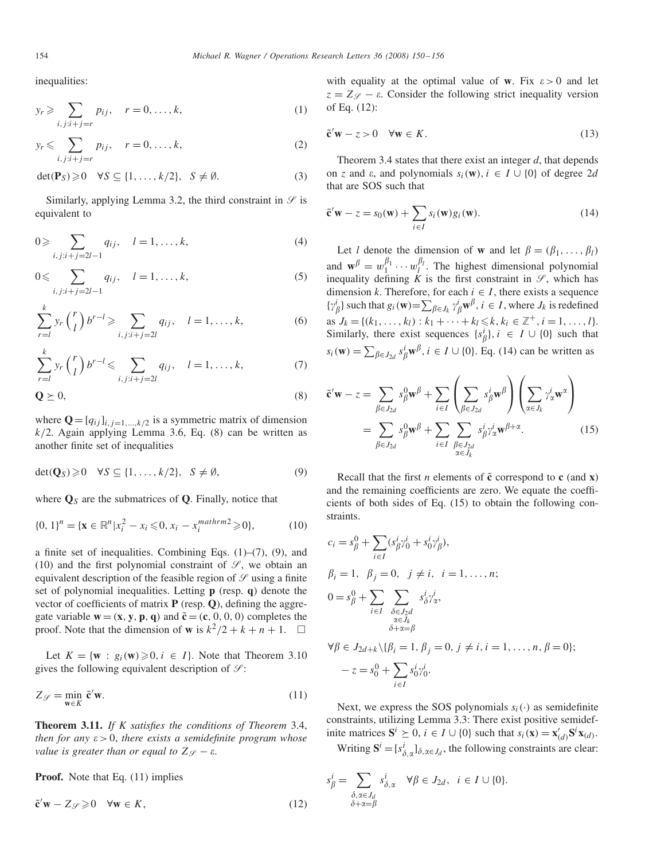inequalities:

$$
y_r \geqslant \sum_{i,j:i+j=r} p_{ij}, \quad r = 0, \dots, k,
$$
\n<sup>(1)</sup>

$$
y_r \leqslant \sum_{i,j:i+j=r} p_{ij}, \quad r = 0, \dots, k,
$$
 (2)

$$
\det(\mathbf{P}_S) \geq 0 \quad \forall S \subseteq \{1, \dots, k/2\}, \quad S \neq \emptyset. \tag{3}
$$

Similarly, applying Lemma 3.2, the third constraint in  $\mathscr S$  is equivalent to

$$
0 \geqslant \sum_{i,j:i+j=2l-1} q_{ij}, \quad l=1,\ldots,k,
$$
\n(4)

$$
0 \leqslant \sum_{i,j:i+j=2l-1} q_{ij}, \quad l=1,\ldots,k,
$$
\n(5)

$$
\sum_{r=l}^{k} y_r \binom{r}{l} b^{r-l} \geqslant \sum_{i,j:i+j=2l} q_{ij}, \quad l=1,\ldots,k,
$$
\n(6)

$$
\sum_{r=l}^{k} y_r \binom{r}{l} b^{r-l} \leqslant \sum_{i,j:i+j=2l} q_{ij}, \quad l=1,\ldots,k,
$$
 (7)

$$
\mathbf{Q} \succeq 0,\tag{8}
$$

where  $\mathbf{Q} = [q_{ij}]_{i,j=1,\dots,k/2}$  is a symmetric matrix of dimension *k/*2. Again applying Lemma 3.6, Eq. (8) can be written as another finite set of inequalities

$$
\det(\mathbf{Q}_S) \geq 0 \quad \forall S \subseteq \{1, \dots, k/2\}, \quad S \neq \emptyset,
$$
\n<sup>(9)</sup>

where  $\mathbf{Q}_S$  are the submatrices of  $\mathbf{Q}$ . Finally, notice that

$$
\{0, 1\}^n = \{ \mathbf{x} \in \mathbb{R}^n | x_i^2 - x_i \leq 0, x_i - x_i^{mathrm{min}} \geq 0 \},\tag{10}
$$

a finite set of inequalities. Combining Eqs. (1)–(7), (9), and (10) and the first polynomial constraint of  $\mathscr{S}$ , we obtain an equivalent description of the feasible region of  $\mathcal{S}$  using a finite set of polynomial inequalities. Letting **p** (resp. **q**) denote the vector of coefficients of matrix **P** (resp. **Q**), defining the aggregate variable  $\mathbf{w} = (\mathbf{x}, \mathbf{y}, \mathbf{p}, \mathbf{q})$  and  $\tilde{\mathbf{c}} = (\mathbf{c}, 0, 0, 0)$  completes the proof. Note that the dimension of **w** is  $k^2/2 + k + n + 1$ .  $\Box$ 

Let  $K = \{w : g_i(w) \geq 0, i \in I\}$ . Note that Theorem 3.10 gives the following equivalent description of  $\mathcal{S}$ :

$$
Z_{\mathscr{S}} = \min_{\mathbf{w} \in K} \tilde{\mathbf{c}}' \mathbf{w}.
$$
 (11)

**Theorem 3.11.** *If K satisfies the conditions of Theorem* 3.4, *then for any*  $\varepsilon > 0$ *, there exists a semidefinite program whose value is greater than or equal to*  $Z_{\mathcal{G}} - \varepsilon$ .

**Proof.** Note that Eq. (11) implies

$$
\tilde{\mathbf{c}}'\mathbf{w} - Z\mathscr{L} \geq 0 \quad \forall \mathbf{w} \in K,\tag{12}
$$

with equality at the optimal value of **w**. Fix  $\varepsilon > 0$  and let  $z = Z_{\mathscr{S}} - \varepsilon$ . Consider the following strict inequality version of Eq. (12):

$$
\tilde{\mathbf{c}}'\mathbf{w} - z > 0 \quad \forall \mathbf{w} \in K. \tag{13}
$$

Theorem 3.4 states that there exist an integer *d*, that depends on *z* and  $\varepsilon$ , and polynomials  $s_i(\mathbf{w})$ ,  $i \in I \cup \{0\}$  of degree 2*d* that are SOS such that

$$
\tilde{\mathbf{c}}'\mathbf{w} - z = s_0(\mathbf{w}) + \sum_{i \in I} s_i(\mathbf{w}) g_i(\mathbf{w}). \tag{14}
$$

Let *l* denote the dimension of **w** and let  $\beta = (\beta_1, \dots, \beta_l)$ and  $\mathbf{w}^{\beta} = w_1^{\beta_1} \cdots w_l^{\beta_l}$ . The highest dimensional polynomial inequality defining  $\hat{K}$  is the first constraint in  $\mathcal{S}$ , which has dimension *k*. Therefore, for each  $i \in I$ , there exists a sequence  $\{ \gamma^i_\beta \}$  such that  $g_i(\mathbf{w}) = \sum_{\beta \in J_k} \gamma^i_\beta \mathbf{w}^\beta$ ,  $i \in I$ , where  $J_k$  is redefined as  $J_k = \{(k_1, \ldots, k_l) : k_1 + \cdots + k_l \leq k, k_i \in \mathbb{Z}^+, i = 1, \ldots, l\}.$ Similarly, there exist sequences  $\{s^i_\beta\}$ ,  $i \in I \cup \{0\}$  such that  $s_i(\mathbf{w}) = \sum_{\beta \in J_{2d}} s_{\beta}^i \mathbf{w}^{\beta}, i \in I \cup \{0\}.$  Eq. (14) can be written as

$$
\tilde{\mathbf{c}}'\mathbf{w} - z = \sum_{\beta \in J_{2d}} s_{\beta}^0 \mathbf{w}^{\beta} + \sum_{i \in I} \left( \sum_{\beta \in J_{2d}} s_{\beta}^i \mathbf{w}^{\beta} \right) \left( \sum_{\alpha \in J_k} \gamma_{\alpha}^i \mathbf{w}^{\alpha} \right)
$$

$$
= \sum_{\beta \in J_{2d}} s_{\beta}^0 \mathbf{w}^{\beta} + \sum_{i \in I} \sum_{\substack{\beta \in J_{2d} \\ \alpha \in J_k}} s_{\beta}^i \gamma_{\alpha}^i \mathbf{w}^{\beta + \alpha}.
$$
(15)

Recall that the first *n* elements of  $\tilde{c}$  correspond to  $c$  (and  $\bf{x}$ ) and the remaining coefficients are zero. We equate the coefficients of both sides of Eq. (15) to obtain the following constraints.

$$
c_i = s_{\beta}^0 + \sum_{i \in I} (s_{\beta}^i \gamma_0^i + s_0^i \gamma_{\beta}^i),
$$
  
\n
$$
\beta_i = 1, \ \beta_j = 0, \ j \neq i, \ i = 1, ..., n;
$$
  
\n
$$
0 = s_{\beta}^0 + \sum_{i \in I} \sum_{\substack{\delta \in J_2 d \\ \alpha \in J_k \\ \delta + \alpha = \beta}} s_{\delta}^i \gamma_{\alpha}^i,
$$
  
\n
$$
\forall \beta \in J_{2d+k} \setminus {\beta_i = 1, \beta_j = 0, j \neq i, i = 1, ..., n, \beta = 0};
$$
  
\n
$$
-z = s_0^0 + \sum_{i \in I} s_0^i \gamma_0^i.
$$

Next, we express the SOS polynomials  $s_i(\cdot)$  as semidefinite constraints, utilizing Lemma 3.3: There exist positive semidefinite matrices  $S^i \geq 0$ ,  $i \in I \cup \{0\}$  such that  $s_i(\mathbf{x}) = \mathbf{x}'_{(d)}S^i\mathbf{x}_{(d)}$ . Writing  $S^i = [s^i_{\delta, \alpha}]_{\delta, \alpha \in J_d}$ , the following constraints are clear:

$$
s_{\beta}^{i} = \sum_{\substack{\delta, \alpha \in J_d \\ \delta + \alpha = \beta}} s_{\delta, \alpha}^{i} \quad \forall \beta \in J_{2d}, \quad i \in I \cup \{0\}.
$$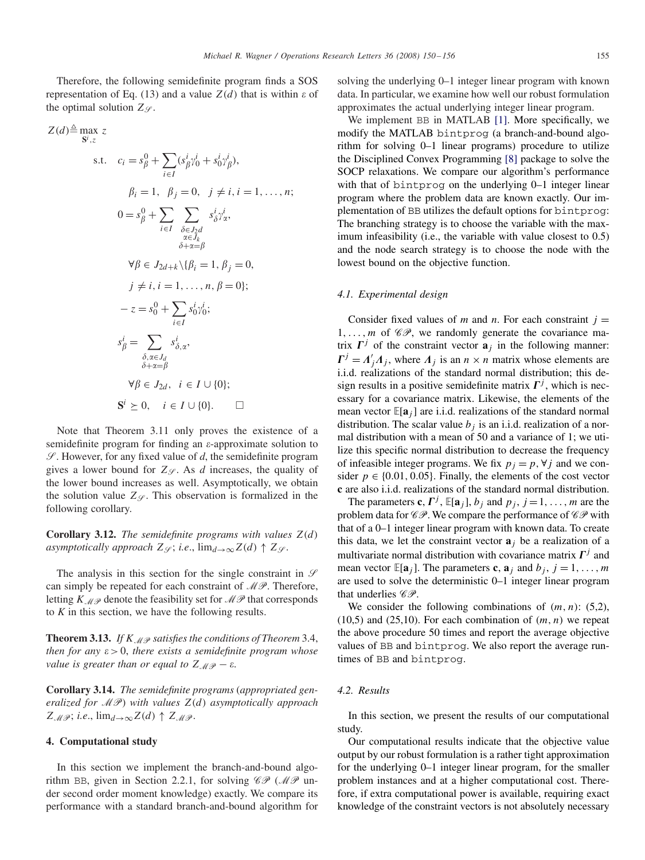Therefore, the following semidefinite program finds a SOS representation of Eq. (13) and a value  $Z(d)$  that is within  $\varepsilon$  of the optimal solution  $Z_{\mathscr{S}}$ .

$$
Z(d) \triangleq \max_{\mathbf{S}^{i}, z} z
$$
  
s.t.  $c_{i} = s_{\beta}^{0} + \sum_{i \in I} (s_{\beta}^{i} \gamma_{0}^{i} + s_{0}^{i} \gamma_{\beta}^{i}),$   
 $\beta_{i} = 1, \beta_{j} = 0, \ j \neq i, i = 1, ..., n;$   

$$
0 = s_{\beta}^{0} + \sum_{i \in I} \sum_{\substack{\delta \in J_{2}d \\ \delta \in J_{\kappa}}} s_{\delta}^{i} \gamma_{\alpha}^{i},
$$

$$
\forall \beta \in J_{2d+k} \setminus \{\beta_{i} = 1, \beta_{j} = 0,
$$

$$
j \neq i, i = 1, ..., n, \beta = 0];
$$

$$
-z = s_{0}^{0} + \sum_{i \in I} s_{0}^{i} \gamma_{0}^{i};
$$

$$
s_{\beta}^{i} = \sum_{\substack{\delta, \alpha \in J_{d} \\ \delta + \alpha = \beta}} s_{\delta, \alpha}^{i},
$$

$$
\forall \beta \in J_{2d}, \ i \in I \cup \{0\};
$$

$$
\mathbf{S}^{i} \succeq 0, \ i \in I \cup \{0\}.
$$

Note that Theorem 3.11 only proves the existence of a semidefinite program for finding an  $\varepsilon$ -approximate solution to  $\mathscr{S}$ . However, for any fixed value of  $d$ , the semidefinite program gives a lower bound for  $Z_{\mathscr{S}}$ . As *d* increases, the quality of the lower bound increases as well. Asymptotically, we obtain the solution value  $Z\varphi$ . This observation is formalized in the following corollary.

**Corollary 3.12.** *The semidefinite programs with values Z(d) asymptotically approach*  $Z_{\mathscr{S}}$ ; *i.e.*,  $\lim_{d\to\infty} Z(d) \uparrow Z_{\mathscr{S}}$ .

The analysis in this section for the single constraint in  $\mathcal{S}$ can simply be repeated for each constraint of  $\mathcal{MP}$ . Therefore, letting  $K_{\mathcal{M}\mathcal{P}}$  denote the feasibility set for  $\mathcal{M}\mathcal{P}$  that corresponds to *K* in this section, we have the following results.

**Theorem 3.13.** If  $K \text{ and } K$  satisfies the conditions of Theorem 3.4, *then for any*  $\varepsilon > 0$ *, there exists a semidefinite program whose value is greater than or equal to*  $Z_{\mathcal{M}\mathcal{P}} - \varepsilon$ .

**Corollary 3.14.** *The semidefinite programs* (*appropriated generalized for* MP) *with values Z(d) asymptotically approach*  $Z_{\mathcal{M}\mathcal{P}}$ ; *i.e.*,  $\lim_{d\to\infty} Z(d) \uparrow Z_{\mathcal{M}\mathcal{P}}$ .

# **4. Computational study**

In this section we implement the branch-and-bound algorithm BB, given in Section 2.2.1, for solving  $\mathscr{CP}(M\mathscr{P})$  under second order moment knowledge) exactly. We compare its performance with a standard branch-and-bound algorithm for solving the underlying 0–1 integer linear program with known data. In particular, we examine how well our robust formulation approximates the actual underlying integer linear program.

We implement BB in MATLAB [\[1\].](#page-6-0) More specifically, we modify the MATLAB bintprog (a branch-and-bound algorithm for solving 0–1 linear programs) procedure to utilize the Disciplined Convex Programming [\[8\]](#page-6-0) package to solve the SOCP relaxations. We compare our algorithm's performance with that of bintprog on the underlying 0–1 integer linear program where the problem data are known exactly. Our implementation of BB utilizes the default options for bintprog: The branching strategy is to choose the variable with the maximum infeasibility (i.e., the variable with value closest to 0.5) and the node search strategy is to choose the node with the lowest bound on the objective function.

#### *4.1. Experimental design*

Consider fixed values of *m* and *n*. For each constraint  $j =$ 1,..., *m* of  $\mathscr{CP}$ , we randomly generate the covariance matrix  $\mathbf{\Gamma}^j$  of the constraint vector  $\mathbf{a}_j$  in the following manner:  $\Gamma^j = A'_j A_j$ , where  $A_j$  is an  $n \times n$  matrix whose elements are i.i.d. realizations of the standard normal distribution; this design results in a positive semidefinite matrix  $\Gamma^{j}$ , which is necessary for a covariance matrix. Likewise, the elements of the mean vector  $\mathbb{E}[\mathbf{a}_i]$  are i.i.d. realizations of the standard normal distribution. The scalar value  $b_j$  is an i.i.d. realization of a normal distribution with a mean of 50 and a variance of 1; we utilize this specific normal distribution to decrease the frequency of infeasible integer programs. We fix  $p_j = p$ ,  $\forall j$  and we consider  $p \in \{0.01, 0.05\}$ . Finally, the elements of the cost vector **c** are also i.i.d. realizations of the standard normal distribution.

The parameters **c**,  $\mathbf{\Gamma}^j$ ,  $\mathbb{E}[\mathbf{a}_j]$ ,  $b_j$  and  $p_j$ ,  $j = 1, \ldots, m$  are the problem data for  $\mathscr{CP}$ . We compare the performance of  $\mathscr{CP}$  with that of a 0–1 integer linear program with known data. To create this data, we let the constraint vector  $\mathbf{a}_i$  be a realization of a multivariate normal distribution with covariance matrix  $\Gamma<sup>j</sup>$  and mean vector  $\mathbb{E}[\mathbf{a}_j]$ . The parameters **c**,  $\mathbf{a}_j$  and  $b_j$ ,  $j = 1, \ldots, m$ are used to solve the deterministic 0–1 integer linear program that underlies  $\mathscr{CP}$ .

We consider the following combinations of *(m, n)*: (5,2), (10,5) and (25,10). For each combination of  $(m, n)$  we repeat the above procedure 50 times and report the average objective values of BB and bintprog. We also report the average runtimes of BB and bintprog.

#### *4.2. Results*

In this section, we present the results of our computational study.

Our computational results indicate that the objective value output by our robust formulation is a rather tight approximation for the underlying 0–1 integer linear program, for the smaller problem instances and at a higher computational cost. Therefore, if extra computational power is available, requiring exact knowledge of the constraint vectors is not absolutely necessary